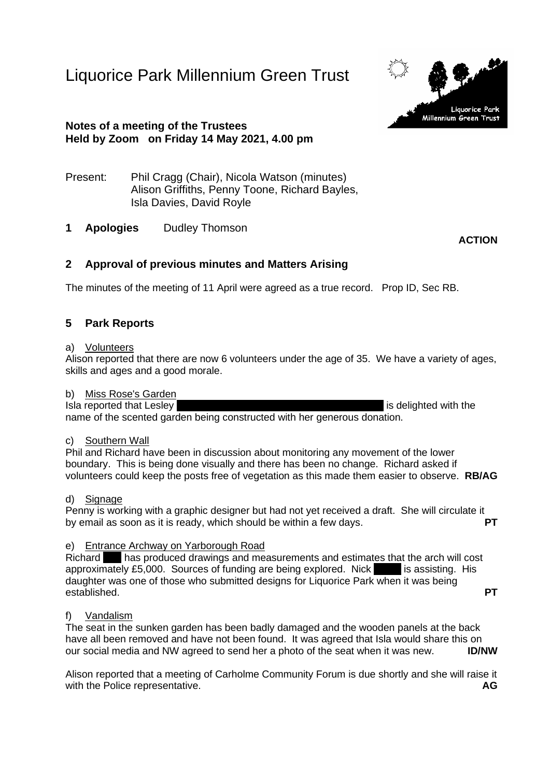Liquorice Park Millennium Green Trust



## **Notes of a meeting of the Trustees Held by Zoom on Friday 14 May 2021, 4.00 pm**

- Present: Phil Cragg (Chair), Nicola Watson (minutes) Alison Griffiths, Penny Toone, Richard Bayles, Isla Davies, David Royle
- **1 Apologies** Dudley Thomson

**ACTION**

# **2 Approval of previous minutes and Matters Arising**

The minutes of the meeting of 11 April were agreed as a true record. Prop ID, Sec RB.

# **5 Park Reports**

### a) Volunteers

Alison reported that there are now 6 volunteers under the age of 35. We have a variety of ages, skills and ages and a good morale.

### b) Miss Rose's Garden

Isla reported that Lesley Rose (former Labour Council) is delighted with the name of the scented garden being constructed with her generous donation.

# c) Southern Wall

Phil and Richard have been in discussion about monitoring any movement of the lower boundary. This is being done visually and there has been no change. Richard asked if volunteers could keep the posts free of vegetation as this made them easier to observe. **RB/AG**

### d) Signage

Penny is working with a graphic designer but had not yet received a draft. She will circulate it<br>by email as soon as it is ready, which should be within a few days by email as soon as it is ready, which should be within a few days.

### e) Entrance Archway on Yarborough Road

Richard Bett has produced drawings and measurements and estimates that the arch will cost approximately  $£5,000$ . Sources of funding are being explored. Nick  $\blacksquare$  is assisting. His daughter was one of those who submitted designs for Liquorice Park when it was being established. **PT**

## f) Vandalism

The seat in the sunken garden has been badly damaged and the wooden panels at the back have all been removed and have not been found. It was agreed that Isla would share this on our social media and NW agreed to send her a photo of the seat when it was new. **ID/NW**

Alison reported that a meeting of Carholme Community Forum is due shortly and she will raise it with the Police representative. **AG**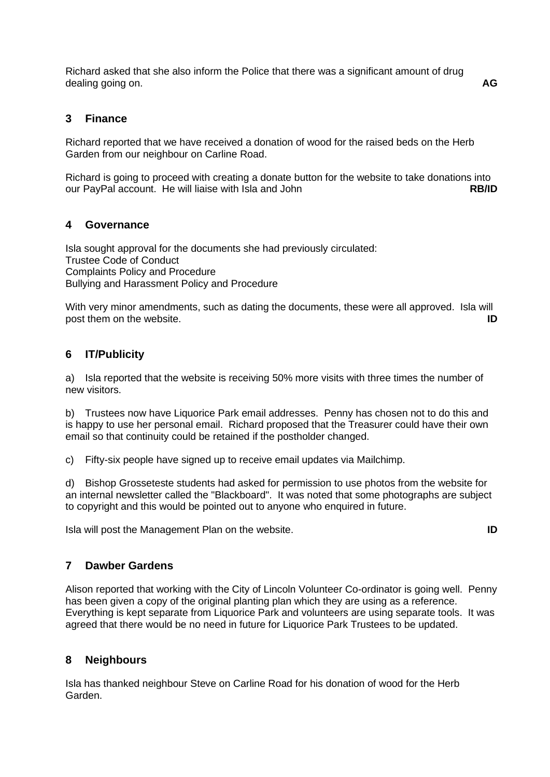Richard asked that she also inform the Police that there was a significant amount of drug dealing going on. **AG**

## **3 Finance**

Richard reported that we have received a donation of wood for the raised beds on the Herb Garden from our neighbour on Carline Road.

Richard is going to proceed with creating a donate button for the website to take donations into our PayPal account. He will liaise with Isla and John **RB/ID**

### **4 Governance**

Isla sought approval for the documents she had previously circulated: Trustee Code of Conduct Complaints Policy and Procedure Bullying and Harassment Policy and Procedure

With very minor amendments, such as dating the documents, these were all approved. Isla will post them on the website. **ID**

## **6 IT/Publicity**

a) Isla reported that the website is receiving 50% more visits with three times the number of new visitors.

b) Trustees now have Liquorice Park email addresses. Penny has chosen not to do this and is happy to use her personal email. Richard proposed that the Treasurer could have their own email so that continuity could be retained if the postholder changed.

c) Fifty-six people have signed up to receive email updates via Mailchimp.

d) Bishop Grosseteste students had asked for permission to use photos from the website for an internal newsletter called the "Blackboard". It was noted that some photographs are subject to copyright and this would be pointed out to anyone who enquired in future.

Isla will post the Management Plan on the website. **ID**

## **7 Dawber Gardens**

Alison reported that working with the City of Lincoln Volunteer Co-ordinator is going well. Penny has been given a copy of the original planting plan which they are using as a reference. Everything is kept separate from Liquorice Park and volunteers are using separate tools. It was agreed that there would be no need in future for Liquorice Park Trustees to be updated.

### **8 Neighbours**

Isla has thanked neighbour Steve on Carline Road for his donation of wood for the Herb Garden.